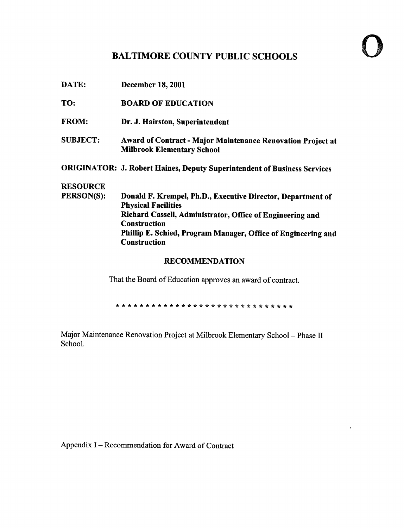## BALTIMORE COUNTY PUBLIC SCHOOLS

| DATE:                 | <b>December 18, 2001</b>                                                                                |  |  |  |
|-----------------------|---------------------------------------------------------------------------------------------------------|--|--|--|
| TO:                   | <b>BOARD OF EDUCATION</b>                                                                               |  |  |  |
| <b>FROM:</b>          | Dr. J. Hairston, Superintendent                                                                         |  |  |  |
| <b>SUBJECT:</b>       | <b>Award of Contract - Major Maintenance Renovation Project at</b><br><b>Milbrook Elementary School</b> |  |  |  |
|                       | <b>ORIGINATOR: J. Robert Haines, Deputy Superintendent of Business Services</b>                         |  |  |  |
| <b>RESOURCE</b>       |                                                                                                         |  |  |  |
| PERSON(S):            | Donald F. Krempel, Ph.D., Executive Director, Department of<br><b>Physical Facilities</b>               |  |  |  |
|                       | Richard Cassell, Administrator, Office of Engineering and<br><b>Construction</b>                        |  |  |  |
|                       | Phillip E. Schied, Program Manager, Office of Engineering and<br><b>Construction</b>                    |  |  |  |
| <b>RECOMMENDATION</b> |                                                                                                         |  |  |  |

That the Board of Education approves an award of contract.

Major Maintenance Renovation Project at Milbrook Elementary School - Phase II School.

Appendix I - Recommendation for Award of Contract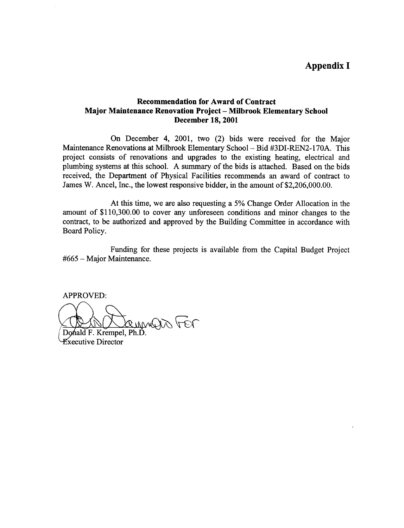## Appendix <sup>I</sup>

## Recommendation for Award of Contract Major Maintenance Renovation Project - Milbrook Elementary School December 18, 2001

On December 4, 2001, two (2) bids were received for the Major Maintenance Renovations at Milbrook Elementary School - Bid #3DI-REN2-170A. This project consists of renovations and upgrades to the existing heating, electrical and plumbing systems at this school. A summary of the bids is attached. Based on the bids received, the Department of Physical Facilities recommends an award of contract to James W. Ancel, Inc., the lowest responsive bidder, in the amount of \$2,206,000.00.

At this time, we are also requesting <sup>a</sup> 5% Change Order Allocation in the amount of \$110,300.00 to cover any unforeseen conditions and minor changes to the contract, to be authorized and approved by the Building Committee in accordance with Board Policy.

Funding for these projects is available from the Capital Budget Project #665 - Major Maintenance.

APPROVED:

MUITO 10

Donald F. Krempel, Ph.I. xecutive Director